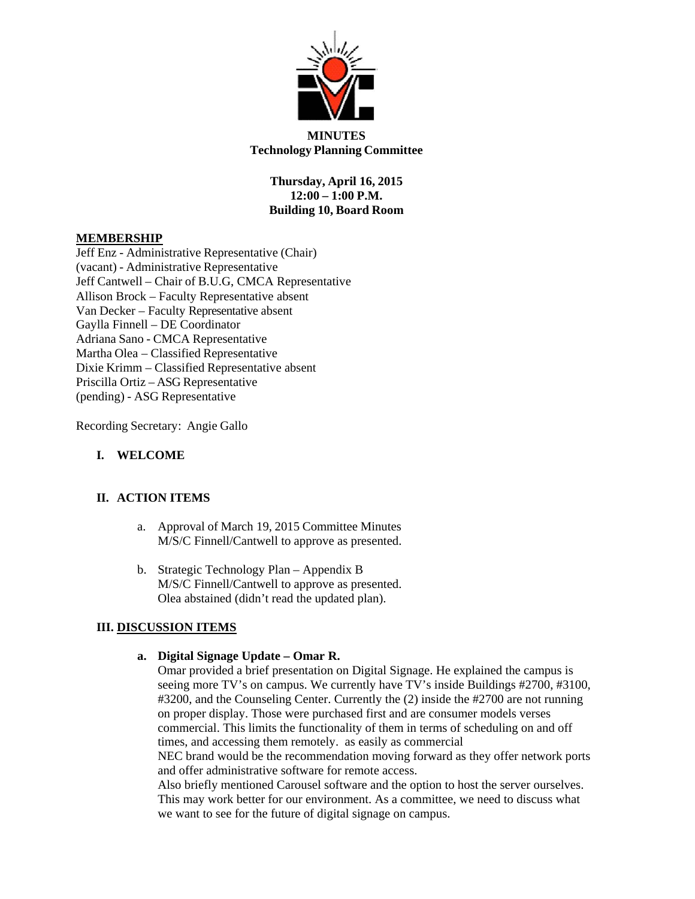

### **MINUTES Technology Planning Committee**

**Thursday, April 16, 2015 12:00 – 1:00 P.M. Building 10, Board Room**

### **MEMBERSHIP**

Jeff Enz - Administrative Representative (Chair) (vacant) - Administrative Representative Jeff Cantwell – Chair of B.U.G, CMCA Representative Allison Brock – Faculty Representative absent Van Decker – Faculty Representative absent Gaylla Finnell – DE Coordinator Adriana Sano - CMCA Representative Martha Olea – Classified Representative Dixie Krimm – Classified Representative absent Priscilla Ortiz – ASG Representative (pending) - ASG Representative

Recording Secretary: Angie Gallo

## **I. WELCOME**

# **II. ACTION ITEMS**

- a. Approval of March 19, 2015 Committee Minutes M/S/C Finnell/Cantwell to approve as presented.
- b. Strategic Technology Plan Appendix B M/S/C Finnell/Cantwell to approve as presented. Olea abstained (didn't read the updated plan).

# **III. DISCUSSION ITEMS**

#### **a. Digital Signage Update – Omar R.**

Omar provided a brief presentation on Digital Signage. He explained the campus is seeing more TV's on campus. We currently have TV's inside Buildings #2700, #3100, #3200, and the Counseling Center. Currently the (2) inside the #2700 are not running on proper display. Those were purchased first and are consumer models verses commercial. This limits the functionality of them in terms of scheduling on and off times, and accessing them remotely. as easily as commercial

NEC brand would be the recommendation moving forward as they offer network ports and offer administrative software for remote access.

Also briefly mentioned Carousel software and the option to host the server ourselves. This may work better for our environment. As a committee, we need to discuss what we want to see for the future of digital signage on campus.